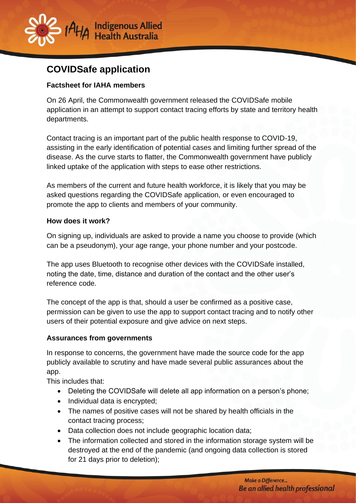

# **COVIDSafe application**

#### **Factsheet for IAHA members**

On 26 April, the Commonwealth government released the COVIDSafe mobile application in an attempt to support contact tracing efforts by state and territory health departments.

Contact tracing is an important part of the public health response to COVID-19, assisting in the early identification of potential cases and limiting further spread of the disease. As the curve starts to flatter, the Commonwealth government have publicly linked uptake of the application with steps to ease other restrictions.

As members of the current and future health workforce, it is likely that you may be asked questions regarding the COVIDSafe application, or even encouraged to promote the app to clients and members of your community.

#### **How does it work?**

On signing up, individuals are asked to provide a name you choose to provide (which can be a pseudonym), your age range, your phone number and your postcode.

The app uses Bluetooth to recognise other devices with the COVIDSafe installed, noting the date, time, distance and duration of the contact and the other user's reference code.

The concept of the app is that, should a user be confirmed as a positive case, permission can be given to use the app to support contact tracing and to notify other users of their potential exposure and give advice on next steps.

#### **Assurances from governments**

In response to concerns, the government have made the source code for the app publicly available to scrutiny and have made several public assurances about the app.

This includes that:

- Deleting the COVIDSafe will delete all app information on a person's phone;
- Individual data is encrypted;
- The names of positive cases will not be shared by health officials in the contact tracing process;
- Data collection does not include geographic location data;
- The information collected and stored in the information storage system will be destroyed at the end of the pandemic (and ongoing data collection is stored for 21 days prior to deletion);